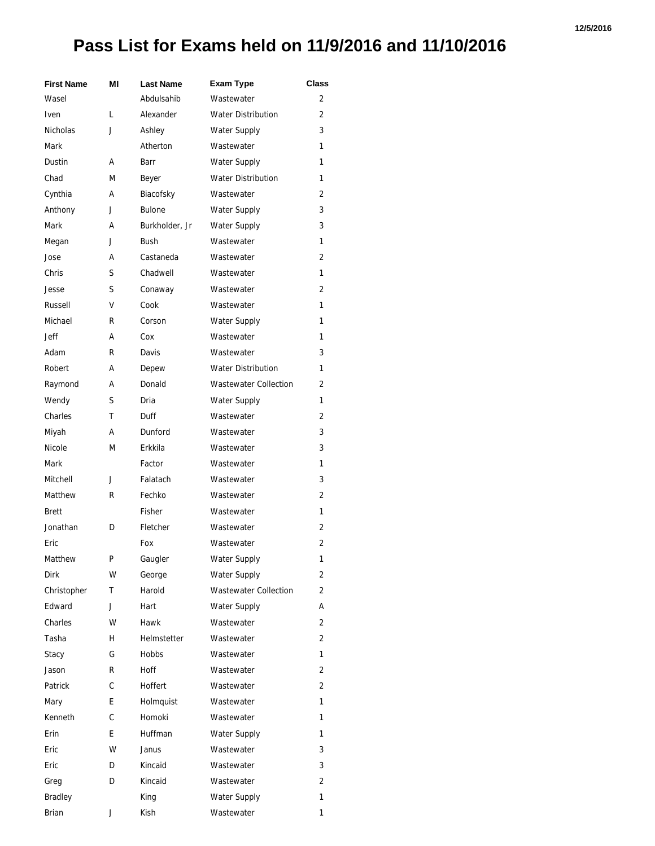## **12/5/2016**

## **Pass List for Exams held on 11/9/2016 and 11/10/2016**

| <b>First Name</b> | ΜI | <b>Last Name</b> | <b>Exam Type</b>             | <b>Class</b>   |
|-------------------|----|------------------|------------------------------|----------------|
| Wasel             |    | Abdulsahib       | Wastewater                   | 2              |
| <b>Iven</b>       | L  | Alexander        | <b>Water Distribution</b>    | $\overline{2}$ |
| Nicholas          | J  | Ashley           | <b>Water Supply</b>          | 3              |
| Mark              |    | Atherton         | Wastewater                   | 1              |
| Dustin            | А  | Barr             | Water Supply                 | 1              |
| Chad              | М  | Beyer            | <b>Water Distribution</b>    | 1              |
| Cynthia           | А  | Biacofsky        | Wastewater                   | 2              |
| Anthony           | J  | <b>Bulone</b>    | <b>Water Supply</b>          | 3              |
| Mark              | А  | Burkholder, Jr   | Water Supply                 | 3              |
| Megan             | J  | <b>Bush</b>      | Wastewater                   | 1              |
| Jose              | А  | Castaneda        | Wastewater                   | 2              |
| Chris             | S  | Chadwell         | Wastewater                   | 1              |
| Jesse             | S  | Conaway          | Wastewater                   | 2              |
| Russell           | v  | Cook             | Wastewater                   | 1              |
| Michael           | R  | Corson           | Water Supply                 | 1              |
| Jeff              | А  | Cox              | Wastewater                   | 1              |
| Adam              | R  | Davis            | Wastewater                   | 3              |
| Robert            | А  | Depew            | <b>Water Distribution</b>    | 1              |
| Raymond           | А  | Donald           | <b>Wastewater Collection</b> | 2              |
| Wendy             | S  | Dria             | <b>Water Supply</b>          | 1              |
| Charles           | Т  | Duff             | Wastewater                   | $\overline{2}$ |
| Miyah             | А  | Dunford          | Wastewater                   | 3              |
| Nicole            | М  | Erkkila          | Wastewater                   | 3              |
| Mark              |    | Factor           | Wastewater                   | 1              |
| Mitchell          | J  | Falatach         | Wastewater                   | 3              |
| Matthew           | R  | Fechko           | Wastewater                   | 2              |
| <b>Brett</b>      |    | Fisher           | Wastewater                   | 1              |
| Jonathan          | D  | Fletcher         | Wastewater                   | 2              |
| Eric              |    | Fox              | Wastewater                   | 2              |
| Matthew           | P  | Gaugler          | Water Supply                 | 1              |
| <b>Dirk</b>       | W  | George           | <b>Water Supply</b>          | 2              |
| Christopher       | т  | Harold           | <b>Wastewater Collection</b> | 2              |
| Edward            | J  | Hart             | <b>Water Supply</b>          | А              |
| Charles           | W  | Hawk             | Wastewater                   | 2              |
| Tasha             | н  | Helmstetter      | Wastewater                   | 2              |
| Stacy             | G  | Hobbs            | Wastewater                   | 1              |
| Jason             | R  | <b>Hoff</b>      | Wastewater                   | 2              |
| Patrick           | C  | Hoffert          | Wastewater                   | 2              |
| Mary              | E  | Holmquist        | Wastewater                   | 1              |
| Kenneth           | C  | Homoki           | Wastewater                   | 1              |
| Erin              | E  | Huffman          | <b>Water Supply</b>          | 1              |
| Eric              | W  | Janus            | Wastewater                   | 3              |
| Eric              | D  | Kincaid          | Wastewater                   | 3              |
| Greg              | D  | Kincaid          | Wastewater                   | 2              |
| <b>Bradley</b>    |    | King             | <b>Water Supply</b>          | 1              |
| Brian             | J  | Kish             | Wastewater                   | 1              |